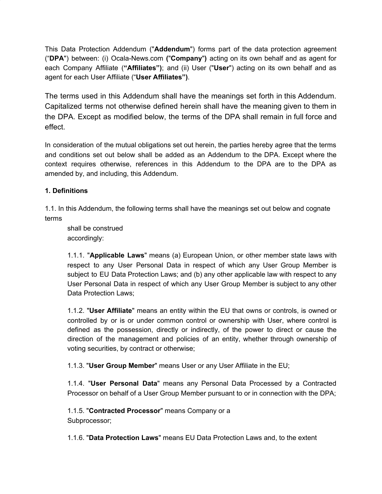This Data Protection Addendum ("**Addendum**") forms part of the data protection agreement ("**DPA**") between: (i) Ocala-News.com **(**"**Company**"**)** acting on its own behalf and as agent for each Company Affiliate (**"Affiliates")**; and (ii) User ("**User**") acting on its own behalf and as agent for each User Affiliate ("**User Affiliates")**.

The terms used in this Addendum shall have the meanings set forth in this Addendum. Capitalized terms not otherwise defined herein shall have the meaning given to them in the DPA. Except as modified below, the terms of the DPA shall remain in full force and effect.

In consideration of the mutual obligations set out herein, the parties hereby agree that the terms and conditions set out below shall be added as an Addendum to the DPA. Except where the context requires otherwise, references in this Addendum to the DPA are to the DPA as amended by, and including, this Addendum.

# **1. Definitions**

1.1. In this Addendum, the following terms shall have the meanings set out below and cognate terms

shall be construed accordingly:

1.1.1. "**Applicable Laws**" means (a) European Union, or other member state laws with respect to any User Personal Data in respect of which any User Group Member is subject to EU Data Protection Laws; and (b) any other applicable law with respect to any User Personal Data in respect of which any User Group Member is subject to any other Data Protection Laws;

1.1.2. "**User Affiliate**" means an entity within the EU that owns or controls, is owned or controlled by or is or under common control or ownership with User, where control is defined as the possession, directly or indirectly, of the power to direct or cause the direction of the management and policies of an entity, whether through ownership of voting securities, by contract or otherwise;

1.1.3. "**User Group Member**" means User or any User Affiliate in the EU;

1.1.4. "**User Personal Data**" means any Personal Data Processed by a Contracted Processor on behalf of a User Group Member pursuant to or in connection with the DPA;

1.1.5. "**Contracted Processor**" means Company or a

Subprocessor;

1.1.6. "**Data Protection Laws**" means EU Data Protection Laws and, to the extent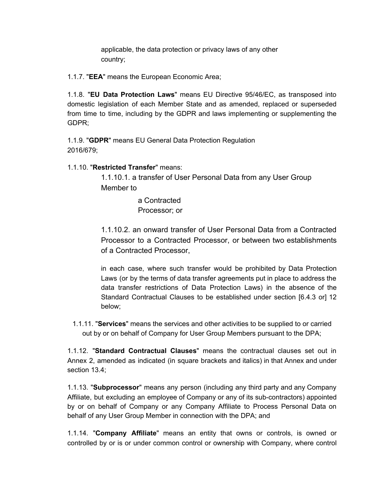applicable, the data protection or privacy laws of any other country;

1.1.7. "**EEA**" means the European Economic Area;

1.1.8. "**EU Data Protection Laws**" means EU Directive 95/46/EC, as transposed into domestic legislation of each Member State and as amended, replaced or superseded from time to time, including by the GDPR and laws implementing or supplementing the GDPR;

1.1.9. "**GDPR**" means EU General Data Protection Regulation 2016/679;

1.1.10. "**Restricted Transfer**" means:

1.1.10.1. a transfer of User Personal Data from any User Group Member to

> a Contracted Processor; or

1.1.10.2. an onward transfer of User Personal Data from a Contracted Processor to a Contracted Processor, or between two establishments of a Contracted Processor,

in each case, where such transfer would be prohibited by Data Protection Laws (or by the terms of data transfer agreements put in place to address the data transfer restrictions of Data Protection Laws) in the absence of the Standard Contractual Clauses to be established under section [6.4.3 or] 12 below;

1.1.11. "**Services**" means the services and other activities to be supplied to or carried out by or on behalf of Company for User Group Members pursuant to the DPA;

1.1.12. "**Standard Contractual Clauses**" means the contractual clauses set out in Annex 2, amended as indicated (in square brackets and italics) in that Annex and under section 13.4;

1.1.13. "**Subprocessor**" means any person (including any third party and any Company Affiliate, but excluding an employee of Company or any of its sub-contractors) appointed by or on behalf of Company or any Company Affiliate to Process Personal Data on behalf of any User Group Member in connection with the DPA; and

1.1.14. "**Company Affiliate**" means an entity that owns or controls, is owned or controlled by or is or under common control or ownership with Company, where control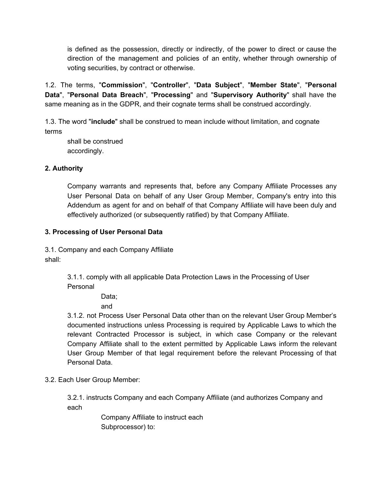is defined as the possession, directly or indirectly, of the power to direct or cause the direction of the management and policies of an entity, whether through ownership of voting securities, by contract or otherwise.

1.2. The terms, "**Commission**", "**Controller**", "**Data Subject**", "**Member State**", "**Personal Data**", "**Personal Data Breach**", "**Processing**" and "**Supervisory Authority**" shall have the same meaning as in the GDPR, and their cognate terms shall be construed accordingly.

1.3. The word "**include**" shall be construed to mean include without limitation, and cognate terms

shall be construed accordingly.

# **2. Authority**

Company warrants and represents that, before any Company Affiliate Processes any User Personal Data on behalf of any User Group Member, Company's entry into this Addendum as agent for and on behalf of that Company Affiliate will have been duly and effectively authorized (or subsequently ratified) by that Company Affiliate.

#### **3. Processing of User Personal Data**

3.1. Company and each Company Affiliate shall:

> 3.1.1. comply with all applicable Data Protection Laws in the Processing of User Personal

> > Data;

and

3.1.2. not Process User Personal Data other than on the relevant User Group Member's documented instructions unless Processing is required by Applicable Laws to which the relevant Contracted Processor is subject, in which case Company or the relevant Company Affiliate shall to the extent permitted by Applicable Laws inform the relevant User Group Member of that legal requirement before the relevant Processing of that Personal Data.

3.2. Each User Group Member:

3.2.1. instructs Company and each Company Affiliate (and authorizes Company and each

> Company Affiliate to instruct each Subprocessor) to: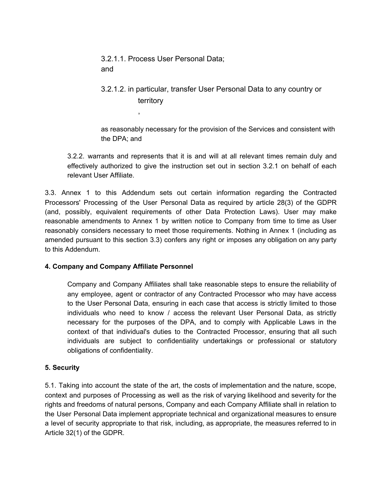3.2.1.1. Process User Personal Data; and

,

# 3.2.1.2. in particular, transfer User Personal Data to any country or territory

as reasonably necessary for the provision of the Services and consistent with the DPA; and

3.2.2. warrants and represents that it is and will at all relevant times remain duly and effectively authorized to give the instruction set out in section 3.2.1 on behalf of each relevant User Affiliate.

3.3. Annex 1 to this Addendum sets out certain information regarding the Contracted Processors' Processing of the User Personal Data as required by article 28(3) of the GDPR (and, possibly, equivalent requirements of other Data Protection Laws). User may make reasonable amendments to Annex 1 by written notice to Company from time to time as User reasonably considers necessary to meet those requirements. Nothing in Annex 1 (including as amended pursuant to this section 3.3) confers any right or imposes any obligation on any party to this Addendum.

#### **4. Company and Company Affiliate Personnel**

Company and Company Affiliates shall take reasonable steps to ensure the reliability of any employee, agent or contractor of any Contracted Processor who may have access to the User Personal Data, ensuring in each case that access is strictly limited to those individuals who need to know / access the relevant User Personal Data, as strictly necessary for the purposes of the DPA, and to comply with Applicable Laws in the context of that individual's duties to the Contracted Processor, ensuring that all such individuals are subject to confidentiality undertakings or professional or statutory obligations of confidentiality.

#### **5. Security**

5.1. Taking into account the state of the art, the costs of implementation and the nature, scope, context and purposes of Processing as well as the risk of varying likelihood and severity for the rights and freedoms of natural persons, Company and each Company Affiliate shall in relation to the User Personal Data implement appropriate technical and organizational measures to ensure a level of security appropriate to that risk, including, as appropriate, the measures referred to in Article 32(1) of the GDPR.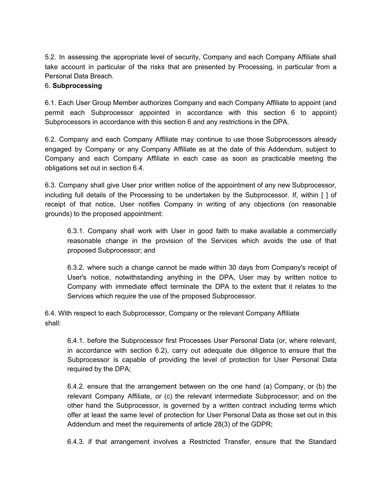5.2. In assessing the appropriate level of security, Company and each Company Affiliate shall take account in particular of the risks that are presented by Processing, in particular from a Personal Data Breach.

#### 6. **Subprocessing**

6.1. Each User Group Member authorizes Company and each Company Affiliate to appoint (and permit each Subprocessor appointed in accordance with this section 6 to appoint) Subprocessors in accordance with this section 6 and any restrictions in the DPA.

6.2. Company and each Company Affiliate may continue to use those Subprocessors already engaged by Company or any Company Affiliate as at the date of this Addendum, subject to Company and each Company Affiliate in each case as soon as practicable meeting the obligations set out in section 6.4.

6.3. Company shall give User prior written notice of the appointment of any new Subprocessor, including full details of the Processing to be undertaken by the Subprocessor. If, within [ ] of receipt of that notice, User notifies Company in writing of any objections (on reasonable grounds) to the proposed appointment:

6.3.1. Company shall work with User in good faith to make available a commercially reasonable change in the provision of the Services which avoids the use of that proposed Subprocessor; and

6.3.2. where such a change cannot be made within 30 days from Company's receipt of User's notice, notwithstanding anything in the DPA, User may by written notice to Company with immediate effect terminate the DPA to the extent that it relates to the Services which require the use of the proposed Subprocessor.

6.4. With respect to each Subprocessor, Company or the relevant Company Affiliate shall:

6.4.1. before the Subprocessor first Processes User Personal Data (or, where relevant, in accordance with section 6.2), carry out adequate due diligence to ensure that the Subprocessor is capable of providing the level of protection for User Personal Data required by the DPA;

6.4.2. ensure that the arrangement between on the one hand (a) Company, or (b) the relevant Company Affiliate, or (c) the relevant intermediate Subprocessor; and on the other hand the Subprocessor, is governed by a written contract including terms which offer at least the same level of protection for User Personal Data as those set out in this Addendum and meet the requirements of article 28(3) of the GDPR;

6.4.3. if that arrangement involves a Restricted Transfer, ensure that the Standard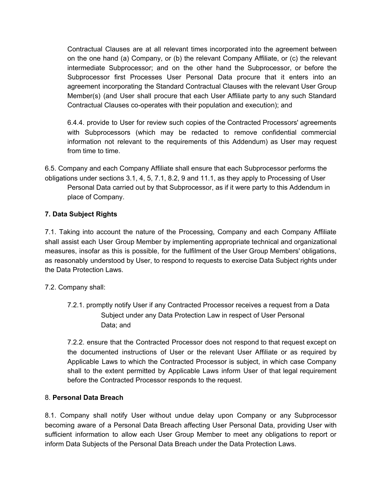Contractual Clauses are at all relevant times incorporated into the agreement between on the one hand (a) Company, or (b) the relevant Company Affiliate, or (c) the relevant intermediate Subprocessor; and on the other hand the Subprocessor, or before the Subprocessor first Processes User Personal Data procure that it enters into an agreement incorporating the Standard Contractual Clauses with the relevant User Group Member(s) (and User shall procure that each User Affiliate party to any such Standard Contractual Clauses co-operates with their population and execution); and

6.4.4. provide to User for review such copies of the Contracted Processors' agreements with Subprocessors (which may be redacted to remove confidential commercial information not relevant to the requirements of this Addendum) as User may request from time to time.

6.5. Company and each Company Affiliate shall ensure that each Subprocessor performs the obligations under sections 3.1, 4, 5, 7.1, 8.2, 9 and 11.1, as they apply to Processing of User Personal Data carried out by that Subprocessor, as if it were party to this Addendum in place of Company.

# **7. Data Subject Rights**

7.1. Taking into account the nature of the Processing, Company and each Company Affiliate shall assist each User Group Member by implementing appropriate technical and organizational measures, insofar as this is possible, for the fulfilment of the User Group Members' obligations, as reasonably understood by User, to respond to requests to exercise Data Subject rights under the Data Protection Laws.

#### 7.2. Company shall:

7.2.1. promptly notify User if any Contracted Processor receives a request from a Data Subject under any Data Protection Law in respect of User Personal Data; and

7.2.2. ensure that the Contracted Processor does not respond to that request except on the documented instructions of User or the relevant User Affiliate or as required by Applicable Laws to which the Contracted Processor is subject, in which case Company shall to the extent permitted by Applicable Laws inform User of that legal requirement before the Contracted Processor responds to the request.

#### 8. **Personal Data Breach**

8.1. Company shall notify User without undue delay upon Company or any Subprocessor becoming aware of a Personal Data Breach affecting User Personal Data, providing User with sufficient information to allow each User Group Member to meet any obligations to report or inform Data Subjects of the Personal Data Breach under the Data Protection Laws.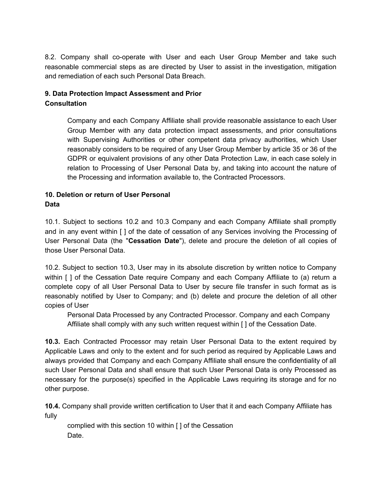8.2. Company shall co-operate with User and each User Group Member and take such reasonable commercial steps as are directed by User to assist in the investigation, mitigation and remediation of each such Personal Data Breach.

# **9. Data Protection Impact Assessment and Prior Consultation**

Company and each Company Affiliate shall provide reasonable assistance to each User Group Member with any data protection impact assessments, and prior consultations with Supervising Authorities or other competent data privacy authorities, which User reasonably considers to be required of any User Group Member by article 35 or 36 of the GDPR or equivalent provisions of any other Data Protection Law, in each case solely in relation to Processing of User Personal Data by, and taking into account the nature of the Processing and information available to, the Contracted Processors.

# **10. Deletion or return of User Personal Data**

10.1. Subject to sections 10.2 and 10.3 Company and each Company Affiliate shall promptly and in any event within [ ] of the date of cessation of any Services involving the Processing of User Personal Data (the "**Cessation Date**"), delete and procure the deletion of all copies of those User Personal Data.

10.2. Subject to section 10.3, User may in its absolute discretion by written notice to Company within [ ] of the Cessation Date require Company and each Company Affiliate to (a) return a complete copy of all User Personal Data to User by secure file transfer in such format as is reasonably notified by User to Company; and (b) delete and procure the deletion of all other copies of User

Personal Data Processed by any Contracted Processor. Company and each Company Affiliate shall comply with any such written request within [ ] of the Cessation Date.

**10.3.** Each Contracted Processor may retain User Personal Data to the extent required by Applicable Laws and only to the extent and for such period as required by Applicable Laws and always provided that Company and each Company Affiliate shall ensure the confidentiality of all such User Personal Data and shall ensure that such User Personal Data is only Processed as necessary for the purpose(s) specified in the Applicable Laws requiring its storage and for no other purpose.

**10.4.** Company shall provide written certification to User that it and each Company Affiliate has fully

complied with this section 10 within [ ] of the Cessation Date.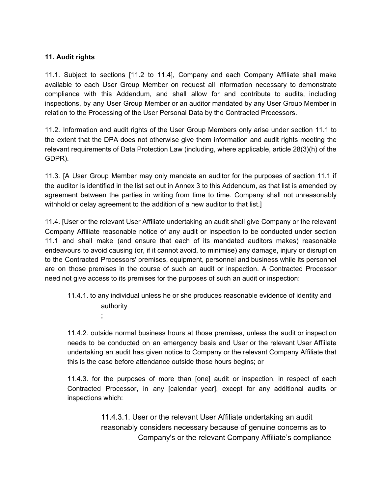#### **11. Audit rights**

;

11.1. Subject to sections [11.2 to 11.4], Company and each Company Affiliate shall make available to each User Group Member on request all information necessary to demonstrate compliance with this Addendum, and shall allow for and contribute to audits, including inspections, by any User Group Member or an auditor mandated by any User Group Member in relation to the Processing of the User Personal Data by the Contracted Processors.

11.2. Information and audit rights of the User Group Members only arise under section 11.1 to the extent that the DPA does not otherwise give them information and audit rights meeting the relevant requirements of Data Protection Law (including, where applicable, article 28(3)(h) of the GDPR).

11.3. [A User Group Member may only mandate an auditor for the purposes of section 11.1 if the auditor is identified in the list set out in Annex 3 to this Addendum, as that list is amended by agreement between the parties in writing from time to time. Company shall not unreasonably withhold or delay agreement to the addition of a new auditor to that list.]

11.4. [User or the relevant User Affiliate undertaking an audit shall give Company or the relevant Company Affiliate reasonable notice of any audit or inspection to be conducted under section 11.1 and shall make (and ensure that each of its mandated auditors makes) reasonable endeavours to avoid causing (or, if it cannot avoid, to minimise) any damage, injury or disruption to the Contracted Processors' premises, equipment, personnel and business while its personnel are on those premises in the course of such an audit or inspection. A Contracted Processor need not give access to its premises for the purposes of such an audit or inspection:

11.4.1. to any individual unless he or she produces reasonable evidence of identity and authority

11.4.2. outside normal business hours at those premises, unless the audit or inspection needs to be conducted on an emergency basis and User or the relevant User Affiilate undertaking an audit has given notice to Company or the relevant Company Affiliate that this is the case before attendance outside those hours begins; or

11.4.3. for the purposes of more than [one] audit or inspection, in respect of each Contracted Processor, in any [calendar year], except for any additional audits or inspections which:

> 11.4.3.1. User or the relevant User Affiliate undertaking an audit reasonably considers necessary because of genuine concerns as to Company's or the relevant Company Affiliate's compliance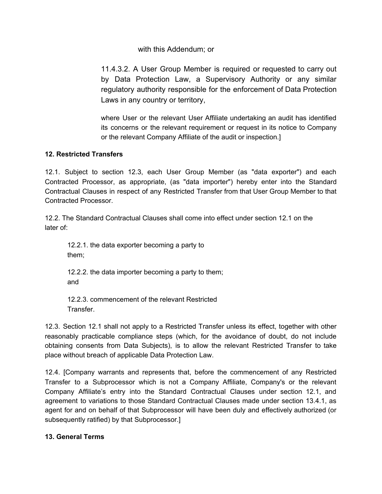#### with this Addendum; or

11.4.3.2. A User Group Member is required or requested to carry out by Data Protection Law, a Supervisory Authority or any similar regulatory authority responsible for the enforcement of Data Protection Laws in any country or territory,

where User or the relevant User Affiliate undertaking an audit has identified its concerns or the relevant requirement or request in its notice to Company or the relevant Company Affiliate of the audit or inspection.]

# **12. Restricted Transfers**

12.1. Subject to section 12.3, each User Group Member (as "data exporter") and each Contracted Processor, as appropriate, (as "data importer") hereby enter into the Standard Contractual Clauses in respect of any Restricted Transfer from that User Group Member to that Contracted Processor.

12.2. The Standard Contractual Clauses shall come into effect under section 12.1 on the later of:

12.2.1. the data exporter becoming a party to them;

12.2.2. the data importer becoming a party to them; and

12.2.3. commencement of the relevant Restricted Transfer.

12.3. Section 12.1 shall not apply to a Restricted Transfer unless its effect, together with other reasonably practicable compliance steps (which, for the avoidance of doubt, do not include obtaining consents from Data Subjects), is to allow the relevant Restricted Transfer to take place without breach of applicable Data Protection Law.

12.4. [Company warrants and represents that, before the commencement of any Restricted Transfer to a Subprocessor which is not a Company Affiliate, Company's or the relevant Company Affiliate's entry into the Standard Contractual Clauses under section 12.1, and agreement to variations to those Standard Contractual Clauses made under section 13.4.1, as agent for and on behalf of that Subprocessor will have been duly and effectively authorized (or subsequently ratified) by that Subprocessor.]

#### **13. General Terms**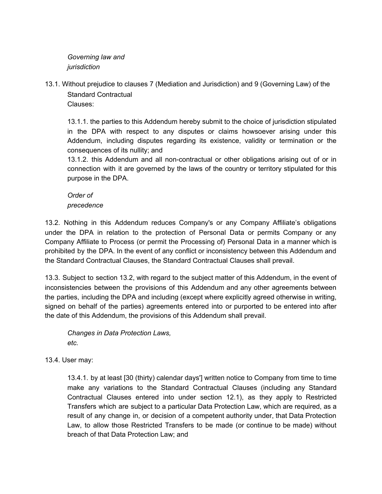*Governing law and jurisdiction*

13.1. Without prejudice to clauses 7 (Mediation and Jurisdiction) and 9 (Governing Law) of the Standard Contractual

Clauses:

13.1.1. the parties to this Addendum hereby submit to the choice of jurisdiction stipulated in the DPA with respect to any disputes or claims howsoever arising under this Addendum, including disputes regarding its existence, validity or termination or the consequences of its nullity; and

13.1.2. this Addendum and all non-contractual or other obligations arising out of or in connection with it are governed by the laws of the country or territory stipulated for this purpose in the DPA.

# *Order of*

*precedence*

13.2. Nothing in this Addendum reduces Company's or any Company Affiliate's obligations under the DPA in relation to the protection of Personal Data or permits Company or any Company Affiliate to Process (or permit the Processing of) Personal Data in a manner which is prohibited by the DPA. In the event of any conflict or inconsistency between this Addendum and the Standard Contractual Clauses, the Standard Contractual Clauses shall prevail.

13.3. Subject to section 13.2, with regard to the subject matter of this Addendum, in the event of inconsistencies between the provisions of this Addendum and any other agreements between the parties, including the DPA and including (except where explicitly agreed otherwise in writing, signed on behalf of the parties) agreements entered into or purported to be entered into after the date of this Addendum, the provisions of this Addendum shall prevail.

*Changes in Data Protection Laws, etc.*

13.4. User may:

13.4.1. by at least [30 (thirty) calendar days'] written notice to Company from time to time make any variations to the Standard Contractual Clauses (including any Standard Contractual Clauses entered into under section 12.1), as they apply to Restricted Transfers which are subject to a particular Data Protection Law, which are required, as a result of any change in, or decision of a competent authority under, that Data Protection Law, to allow those Restricted Transfers to be made (or continue to be made) without breach of that Data Protection Law; and